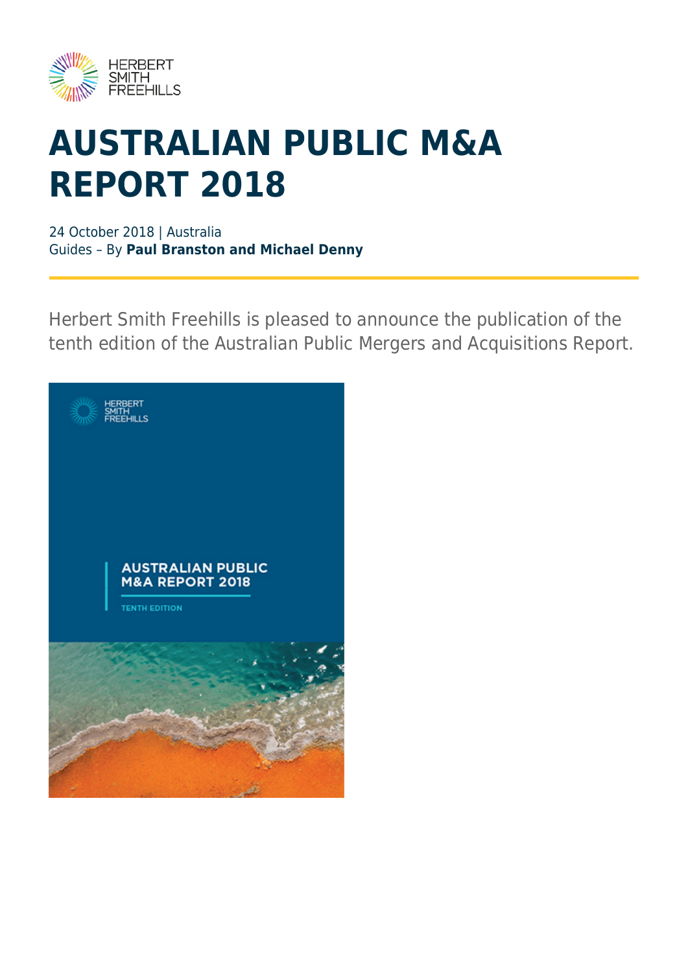

# **AUSTRALIAN PUBLIC M&A REPORT 2018**

24 October 2018 | Australia Guides – By **Paul Branston and Michael Denny**

Herbert Smith Freehills is pleased to announce the publication of the tenth edition of the Australian Public Mergers and Acquisitions Report.

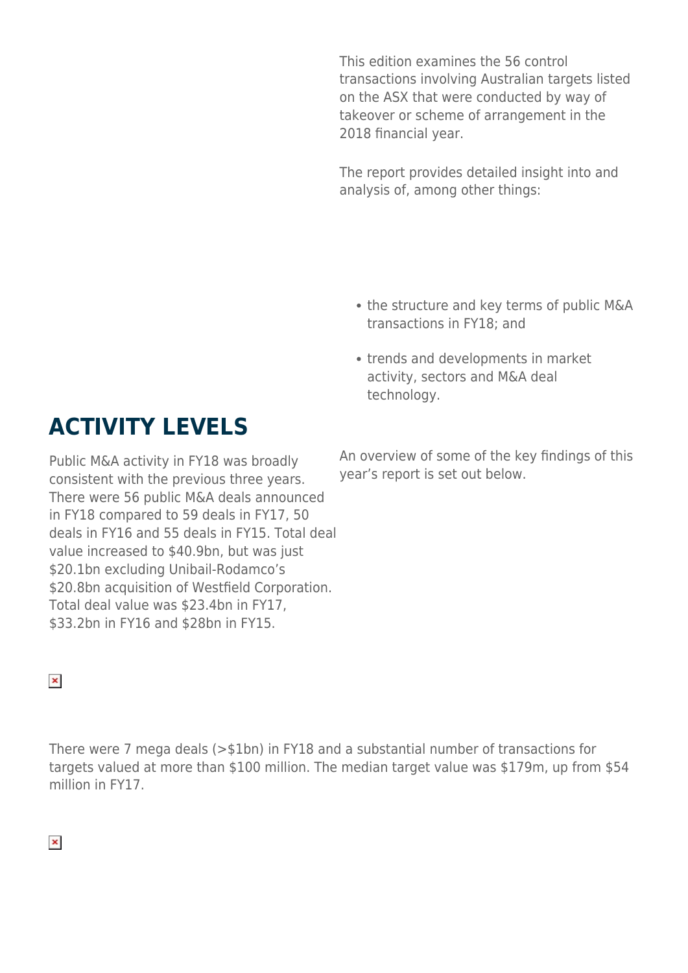This edition examines the 56 control transactions involving Australian targets listed on the ASX that were conducted by way of takeover or scheme of arrangement in the 2018 financial year.

The report provides detailed insight into and analysis of, among other things:

- the structure and key terms of public M&A transactions in FY18; and
- trends and developments in market activity, sectors and M&A deal technology.

#### **ACTIVITY LEVELS**

Public M&A activity in FY18 was broadly consistent with the previous three years. There were 56 public M&A deals announced in FY18 compared to 59 deals in FY17, 50 deals in FY16 and 55 deals in FY15. Total deal value increased to \$40.9bn, but was just \$20.1bn excluding Unibail-Rodamco's \$20.8bn acquisition of Westfield Corporation. Total deal value was \$23.4bn in FY17, \$33.2bn in FY16 and \$28bn in FY15.

An overview of some of the key findings of this year's report is set out below.

#### $\pmb{\times}$

There were 7 mega deals (>\$1bn) in FY18 and a substantial number of transactions for targets valued at more than \$100 million. The median target value was \$179m, up from \$54 million in FY17.

#### $\pmb{\times}$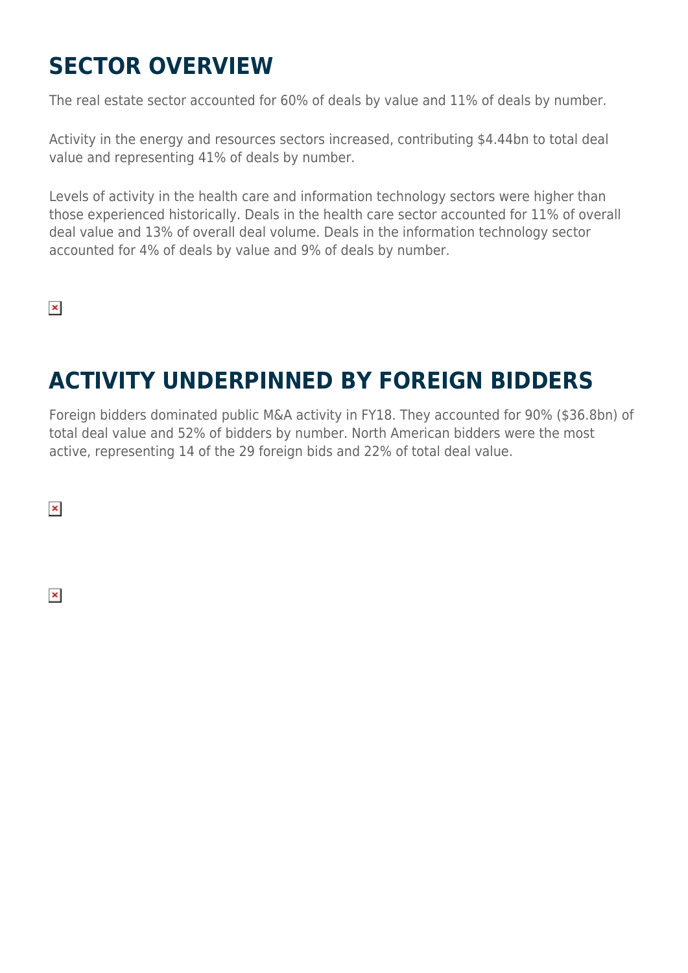### **SECTOR OVERVIEW**

The real estate sector accounted for 60% of deals by value and 11% of deals by number.

Activity in the energy and resources sectors increased, contributing \$4.44bn to total deal value and representing 41% of deals by number.

Levels of activity in the health care and information technology sectors were higher than those experienced historically. Deals in the health care sector accounted for 11% of overall deal value and 13% of overall deal volume. Deals in the information technology sector accounted for 4% of deals by value and 9% of deals by number.

 $\pmb{\times}$ 

### **ACTIVITY UNDERPINNED BY FOREIGN BIDDERS**

Foreign bidders dominated public M&A activity in FY18. They accounted for 90% (\$36.8bn) of total deal value and 52% of bidders by number. North American bidders were the most active, representing 14 of the 29 foreign bids and 22% of total deal value.

 $\pmb{\times}$ 

 $\pmb{\times}$